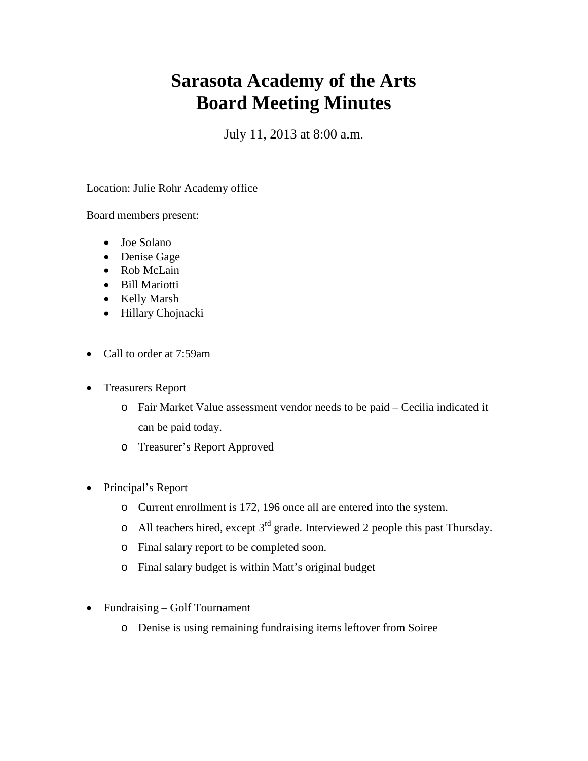## **Sarasota Academy of the Arts Board Meeting Minutes**

## July 11, 2013 at 8:00 a.m.

Location: Julie Rohr Academy office

Board members present:

- Joe Solano
- Denise Gage
- Rob McLain
- Bill Mariotti
- Kelly Marsh
- Hillary Chojnacki
- Call to order at 7:59am
- Treasurers Report
	- o Fair Market Value assessment vendor needs to be paid Cecilia indicated it can be paid today.
	- o Treasurer's Report Approved
- Principal's Report
	- o Current enrollment is 172, 196 once all are entered into the system.
	- o All teachers hired, except  $3<sup>rd</sup>$  grade. Interviewed 2 people this past Thursday.
	- o Final salary report to be completed soon.
	- o Final salary budget is within Matt's original budget
- Fundraising Golf Tournament
	- o Denise is using remaining fundraising items leftover from Soiree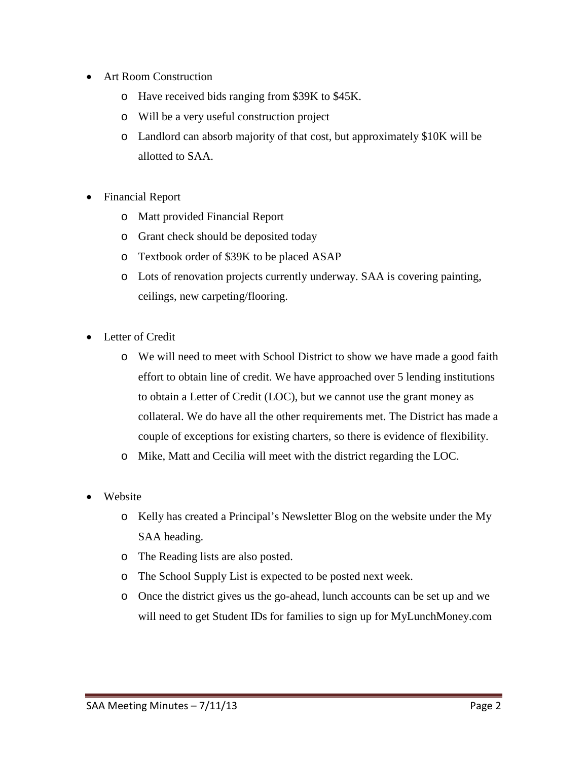- Art Room Construction
	- o Have received bids ranging from \$39K to \$45K.
	- o Will be a very useful construction project
	- o Landlord can absorb majority of that cost, but approximately \$10K will be allotted to SAA.
- Financial Report
	- o Matt provided Financial Report
	- o Grant check should be deposited today
	- o Textbook order of \$39K to be placed ASAP
	- o Lots of renovation projects currently underway. SAA is covering painting, ceilings, new carpeting/flooring.
- Letter of Credit
	- o We will need to meet with School District to show we have made a good faith effort to obtain line of credit. We have approached over 5 lending institutions to obtain a Letter of Credit (LOC), but we cannot use the grant money as collateral. We do have all the other requirements met. The District has made a couple of exceptions for existing charters, so there is evidence of flexibility.
	- o Mike, Matt and Cecilia will meet with the district regarding the LOC.
- Website
	- o Kelly has created a Principal's Newsletter Blog on the website under the My SAA heading.
	- o The Reading lists are also posted.
	- o The School Supply List is expected to be posted next week.
	- o Once the district gives us the go-ahead, lunch accounts can be set up and we will need to get Student IDs for families to sign up for MyLunchMoney.com